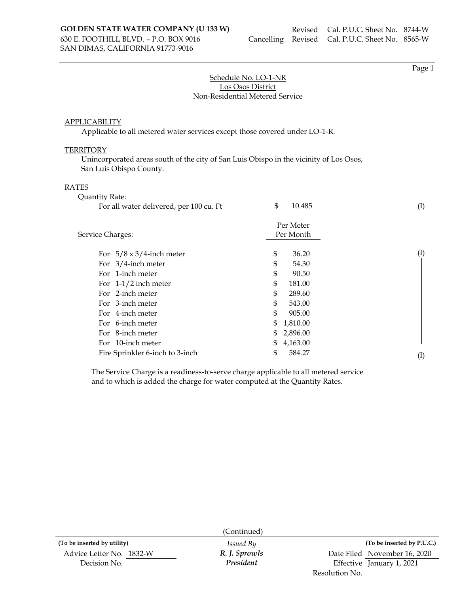SAN DIMAS, CALIFORNIA 91773-9016

Page 1

# Schedule No. LO-1-NR Los Osos District Non-Residential Metered Service

### APPLICABILITY

Applicable to all metered water services except those covered under LO-1-R.

### **TERRITORY**

Unincorporated areas south of the city of San Luis Obispo in the vicinity of Los Osos, San Luis Obispo County.

#### RATES

| Quantity Rate:                          |                        |           |
|-----------------------------------------|------------------------|-----------|
| For all water delivered, per 100 cu. Ft | \$<br>10.485           | (I)       |
| Service Charges:                        | Per Meter<br>Per Month |           |
|                                         |                        |           |
| For $5/8 \times 3/4$ -inch meter        | \$<br>36.20            | $\rm (I)$ |
| For $3/4$ -inch meter                   | \$<br>54.30            |           |
| For 1-inch meter                        | \$<br>90.50            |           |
| For $1-1/2$ inch meter                  | \$<br>181.00           |           |
| For 2-inch meter                        | \$<br>289.60           |           |
| For 3-inch meter                        | \$<br>543.00           |           |
| For 4-inch meter                        | \$<br>905.00           |           |
| For 6-inch meter                        | \$<br>1,810.00         |           |
| For 8-inch meter                        | \$<br>2,896.00         |           |
| For 10-inch meter                       | \$<br>4,163.00         |           |
| Fire Sprinkler 6-inch to 3-inch         | \$<br>584.27           | $\rm(I)$  |

The Service Charge is a readiness-to-serve charge applicable to all metered service and to which is added the charge for water computed at the Quantity Rates.

|                             | (Continued)      |                |                              |
|-----------------------------|------------------|----------------|------------------------------|
| (To be inserted by utility) | <i>Issued By</i> |                | (To be inserted by P.U.C.)   |
| Advice Letter No. 1832-W    | R. J. Sprowls    |                | Date Filed November 16, 2020 |
| Decision No.                | President        |                | Effective January 1, 2021    |
|                             |                  | Resolution No. |                              |